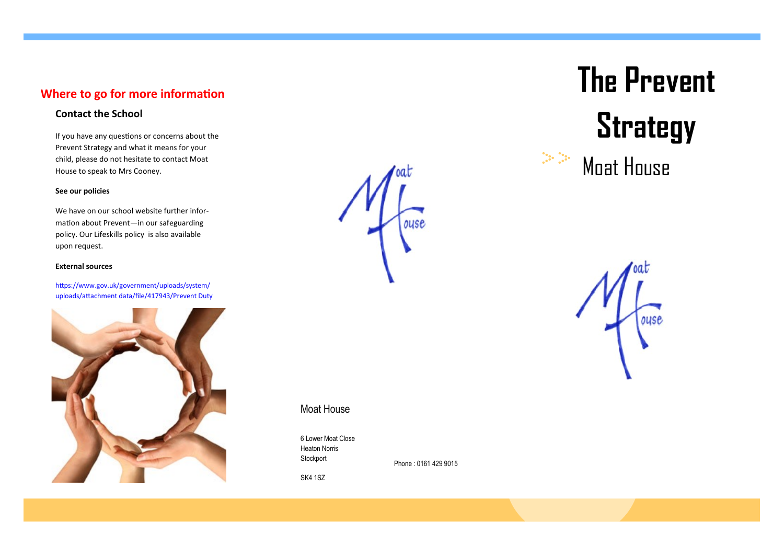## **Where to go for more information**

If you have any questions or concerns about the Prevent Strategy and what it means for your child, please do not hesitate to contact Moat House to speak to Mrs Cooney.

### **See our policies**

We have on our school website further information about Prevent—in our safeguarding policy. Our Lifeskills policy is also available upon request.

#### **External sources**

https://www.gov.uk/government/uploads/system/ uploads/attachment data/file/417943/Prevent Duty



ouse

## Moat House

6 Lower Moat Close Heaton Norris Stockport

Phone : 0161 429 9015

SK4 1SZ

# **The Prevent**  Contact the School<br>If you have any questions or concerns about the

Moat House